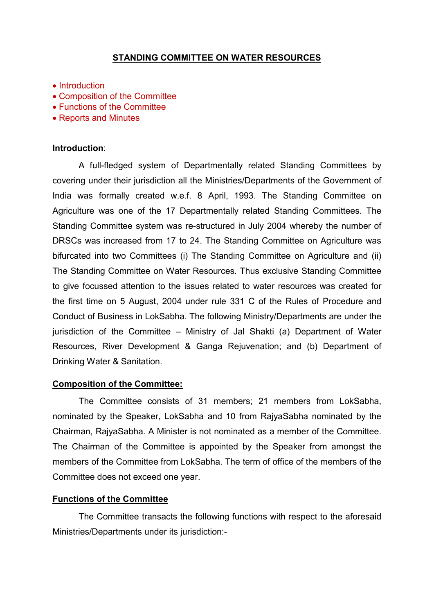# STANDING COMMITTEE ON WATER RESOURCES

- Introduction
- Composition of the Committee
- Functions of the Committee
- Reports and Minutes

#### Introduction:

A full-fledged system of Departmentally related Standing Committees by covering under their jurisdiction all the Ministries/Departments of the Government of India was formally created w.e.f. 8 April, 1993. The Standing Committee on Agriculture was one of the 17 Departmentally related Standing Committees. The Standing Committee system was re-structured in July 2004 whereby the number of DRSCs was increased from 17 to 24. The Standing Committee on Agriculture was bifurcated into two Committees (i) The Standing Committee on Agriculture and (ii) The Standing Committee on Water Resources. Thus exclusive Standing Committee to give focussed attention to the issues related to water resources was created for the first time on 5 August, 2004 under rule 331 C of the Rules of Procedure and Conduct of Business in LokSabha. The following Ministry/Departments are under the jurisdiction of the Committee – Ministry of Jal Shakti (a) Department of Water Resources, River Development & Ganga Rejuvenation; and (b) Department of Drinking Water & Sanitation.

## Composition of the Committee:

 The Committee consists of 31 members; 21 members from LokSabha, nominated by the Speaker, LokSabha and 10 from RajyaSabha nominated by the Chairman, RajyaSabha. A Minister is not nominated as a member of the Committee. The Chairman of the Committee is appointed by the Speaker from amongst the members of the Committee from LokSabha. The term of office of the members of the Committee does not exceed one year.

#### Functions of the Committee

The Committee transacts the following functions with respect to the aforesaid Ministries/Departments under its jurisdiction:-